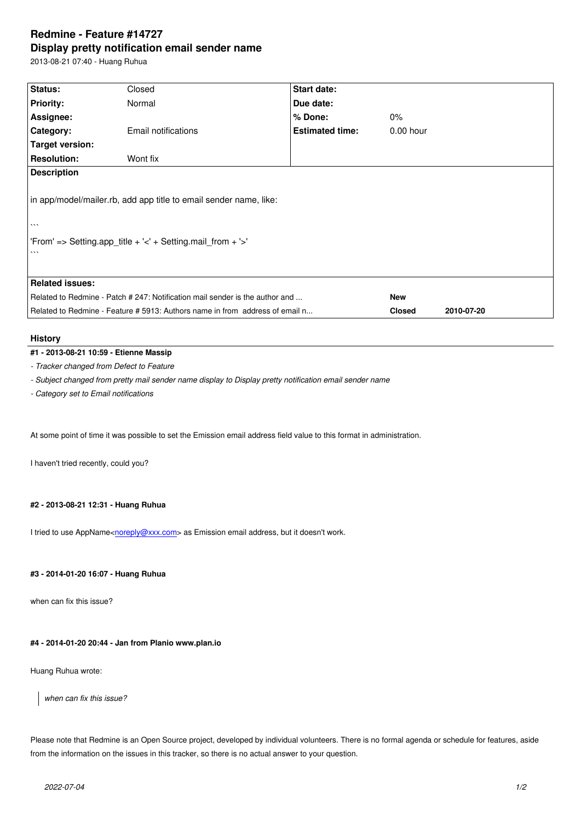#### **Display pretty notification email sender name**

2013-08-21 07:40 - Huang Ruhua

| Status:                                                                      | Closed              | Start date:            |               |            |
|------------------------------------------------------------------------------|---------------------|------------------------|---------------|------------|
| <b>Priority:</b>                                                             | Normal              | Due date:              |               |            |
| Assignee:                                                                    |                     | % Done:                | $0\%$         |            |
| Category:                                                                    | Email notifications | <b>Estimated time:</b> | $0.00$ hour   |            |
| <b>Target version:</b>                                                       |                     |                        |               |            |
| <b>Resolution:</b>                                                           | Wont fix            |                        |               |            |
| <b>Description</b>                                                           |                     |                        |               |            |
| in app/model/mailer.rb, add app title to email sender name, like:            |                     |                        |               |            |
| $\cdots$                                                                     |                     |                        |               |            |
| 'From' => Setting.app_title + '<' + Setting.mail_from + '>'<br>$\cdots$      |                     |                        |               |            |
| <b>Related issues:</b>                                                       |                     |                        |               |            |
| Related to Redmine - Patch # 247: Notification mail sender is the author and |                     |                        | <b>New</b>    |            |
| Related to Redmine - Feature # 5913: Authors name in from address of email n |                     |                        | <b>Closed</b> | 2010-07-20 |

# **History**

## **#1 - 2013-08-21 10:59 - Etienne Massip**

*- Tracker changed from Defect to Feature*

*- Subject changed from pretty mail sender name display to Display pretty notification email sender name*

*- Category set to Email notifications*

At some point of time it was possible to set the Emission email address field value to this format in administration.

I haven't tried recently, could you?

### **#2 - 2013-08-21 12:31 - Huang Ruhua**

I tried to use AppName<noreply@xxx.com> as Emission email address, but it doesn't work.

### **#3 - 2014-01-20 16:07 - [Huang Ruhua](mailto:noreply@xxx.com)**

when can fix this issue?

## **#4 - 2014-01-20 20:44 - Jan from Planio www.plan.io**

Huang Ruhua wrote:

*when can fix this issue?*

Please note that Redmine is an Open Source project, developed by individual volunteers. There is no formal agenda or schedule for features, aside from the information on the issues in this tracker, so there is no actual answer to your question.